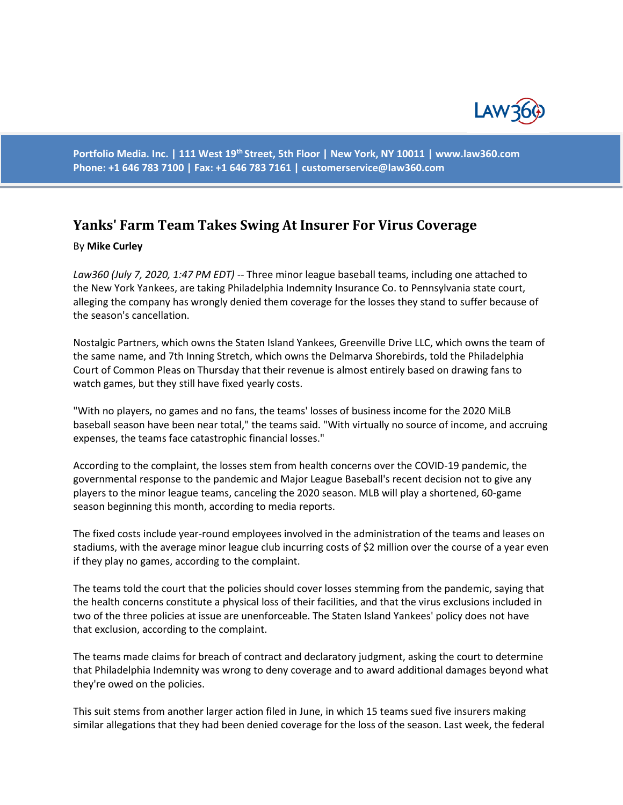

**Portfolio Media. Inc. | 111 West 19th Street, 5th Floor | New York, NY 10011 | www.law360.com Phone: +1 646 783 7100 | Fax: +1 646 783 7161 | customerservice@law360.com**

## **Yanks' Farm Team Takes Swing At Insurer For Virus Coverage**

## By **Mike Curley**

*Law360 (July 7, 2020, 1:47 PM EDT)* -- Three minor league baseball teams, including one attached to the New York Yankees, are taking Philadelphia Indemnity Insurance Co. to Pennsylvania state court, alleging the company has wrongly denied them coverage for the losses they stand to suffer because of the season's cancellation.

Nostalgic Partners, which owns the Staten Island Yankees, Greenville Drive LLC, which owns the team of the same name, and 7th Inning Stretch, which owns the Delmarva Shorebirds, told the Philadelphia Court of Common Pleas on Thursday that their revenue is almost entirely based on drawing fans to watch games, but they still have fixed yearly costs.

"With no players, no games and no fans, the teams' losses of business income for the 2020 MiLB baseball season have been near total," the teams said. "With virtually no source of income, and accruing expenses, the teams face catastrophic financial losses."

According to the complaint, the losses stem from health concerns over the COVID-19 pandemic, the governmental response to the pandemic and Major League Baseball's recent decision not to give any players to the minor league teams, canceling the 2020 season. MLB will play a shortened, 60-game season beginning this month, according to media reports.

The fixed costs include year-round employees involved in the administration of the teams and leases on stadiums, with the average minor league club incurring costs of \$2 million over the course of a year even if they play no games, according to the complaint.

The teams told the court that the policies should cover losses stemming from the pandemic, saying that the health concerns constitute a physical loss of their facilities, and that the virus exclusions included in two of the three policies at issue are unenforceable. The Staten Island Yankees' policy does not have that exclusion, according to the complaint.

The teams made claims for breach of contract and declaratory judgment, asking the court to determine that Philadelphia Indemnity was wrong to deny coverage and to award additional damages beyond what they're owed on the policies.

This suit stems from another larger action filed in June, in which 15 teams sued five insurers making similar allegations that they had been denied coverage for the loss of the season. Last week, the federal